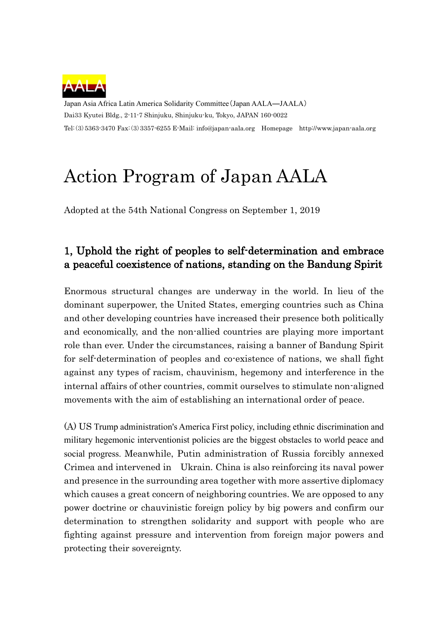

Japan Asia Africa Latin America Solidarity Committee(Japan AALA―JAALA) Dai33 Kyutei Bldg., 2-11-7 Shinjuku, Shinjuku-ku, Tokyo, JAPAN 160-0022 Tel:(3)5363-3470 Fax:(3)3357-6255 E-Mail: info@japan-aala.org Homepage http://www.japan-aala.org

# Action Program of Japan AALA

Adopted at the 54th National Congress on September 1, 2019

### 1, Uphold the right of peoples to self-determination and embrace a peaceful coexistence of nations, standing on the Bandung Spirit

Enormous structural changes are underway in the world. In lieu of the dominant superpower, the United States, emerging countries such as China and other developing countries have increased their presence both politically and economically, and the non-allied countries are playing more important role than ever. Under the circumstances, raising a banner of Bandung Spirit for self-determination of peoples and co-existence of nations, we shall fight against any types of racism, chauvinism, hegemony and interference in the internal affairs of other countries, commit ourselves to stimulate non-aligned movements with the aim of establishing an international order of peace.

(A) US Trump administration's America First policy, including ethnic discrimination and military hegemonic interventionist policies are the biggest obstacles to world peace and social progress. Meanwhile, Putin administration of Russia forcibly annexed Crimea and intervened in Ukrain. China is also reinforcing its naval power and presence in the surrounding area together with more assertive diplomacy which causes a great concern of neighboring countries. We are opposed to any power doctrine or chauvinistic foreign policy by big powers and confirm our determination to strengthen solidarity and support with people who are fighting against pressure and intervention from foreign major powers and protecting their sovereignty.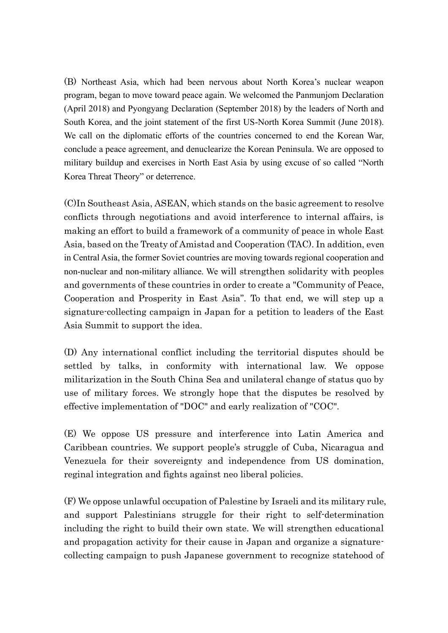(B) Northeast Asia, which had been nervous about North Korea's nuclear weapon program, began to move toward peace again. We welcomed the Panmunjom Declaration (April 2018) and Pyongyang Declaration (September 2018) by the leaders of North and South Korea, and the joint statement of the first US-North Korea Summit (June 2018). We call on the diplomatic efforts of the countries concerned to end the Korean War, conclude a peace agreement, and denuclearize the Korean Peninsula. We are opposed to military buildup and exercises in North East Asia by using excuse of so called "North Korea Threat Theory" or deterrence.

(C)In Southeast Asia, ASEAN, which stands on the basic agreement to resolve conflicts through negotiations and avoid interference to internal affairs, is making an effort to build a framework of a community of peace in whole East Asia, based on the Treaty of Amistad and Cooperation (TAC). In addition, even in Central Asia, the former Soviet countries are moving towards regional cooperation and non-nuclear and non-military alliance. We will strengthen solidarity with peoples and governments of these countries in order to create a "Community of Peace, Cooperation and Prosperity in East Asia". To that end, we will step up a signature-collecting campaign in Japan for a petition to leaders of the East Asia Summit to support the idea.

(D) Any international conflict including the territorial disputes should be settled by talks, in conformity with international law. We oppose militarization in the South China Sea and unilateral change of status quo by use of military forces. We strongly hope that the disputes be resolved by effective implementation of "DOC" and early realization of "COC".

(E) We oppose US pressure and interference into Latin America and Caribbean countries. We support people's struggle of Cuba, Nicaragua and Venezuela for their sovereignty and independence from US domination, reginal integration and fights against neo liberal policies.

(F) We oppose unlawful occupation of Palestine by Israeli and its military rule, and support Palestinians struggle for their right to self-determination including the right to build their own state. We will strengthen educational and propagation activity for their cause in Japan and organize a signaturecollecting campaign to push Japanese government to recognize statehood of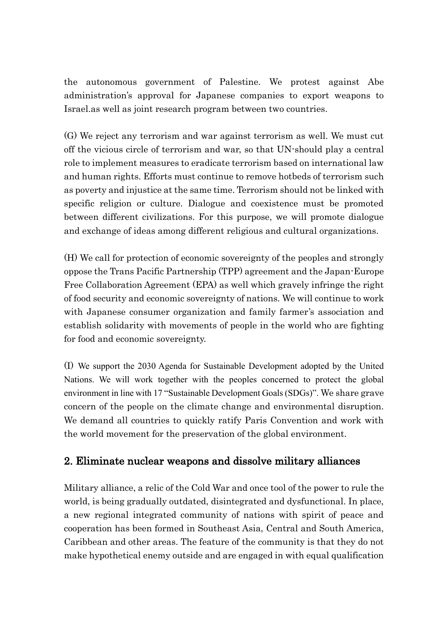the autonomous government of Palestine. We protest against Abe administration's approval for Japanese companies to export weapons to Israel.as well as joint research program between two countries.

(G) We reject any terrorism and war against terrorism as well. We must cut off the vicious circle of terrorism and war, so that UN-should play a central role to implement measures to eradicate terrorism based on international law and human rights. Efforts must continue to remove hotbeds of terrorism such as poverty and injustice at the same time. Terrorism should not be linked with specific religion or culture. Dialogue and coexistence must be promoted between different civilizations. For this purpose, we will promote dialogue and exchange of ideas among different religious and cultural organizations.

(H) We call for protection of economic sovereignty of the peoples and strongly oppose the Trans Pacific Partnership (TPP) agreement and the Japan-Europe Free Collaboration Agreement (EPA) as well which gravely infringe the right of food security and economic sovereignty of nations. We will continue to work with Japanese consumer organization and family farmer's association and establish solidarity with movements of people in the world who are fighting for food and economic sovereignty.

(I) We support the 2030 Agenda for Sustainable Development adopted by the United Nations. We will work together with the peoples concerned to protect the global environment in line with 17 "Sustainable Development Goals (SDGs)". We share grave concern of the people on the climate change and environmental disruption. We demand all countries to quickly ratify Paris Convention and work with the world movement for the preservation of the global environment.

#### 2. Eliminate nuclear weapons and dissolve military alliances

Military alliance, a relic of the Cold War and once tool of the power to rule the world, is being gradually outdated, disintegrated and dysfunctional. In place, a new regional integrated community of nations with spirit of peace and cooperation has been formed in Southeast Asia, Central and South America, Caribbean and other areas. The feature of the community is that they do not make hypothetical enemy outside and are engaged in with equal qualification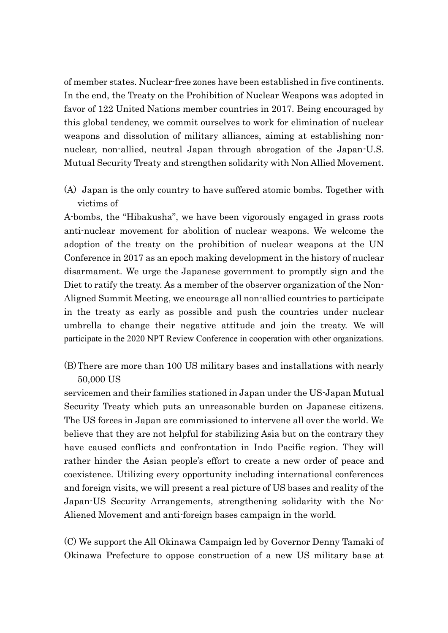of member states. Nuclear-free zones have been established in five continents. In the end, the Treaty on the Prohibition of Nuclear Weapons was adopted in favor of 122 United Nations member countries in 2017. Being encouraged by this global tendency, we commit ourselves to work for elimination of nuclear weapons and dissolution of military alliances, aiming at establishing nonnuclear, non-allied, neutral Japan through abrogation of the Japan-U.S. Mutual Security Treaty and strengthen solidarity with Non Allied Movement.

(A) Japan is the only country to have suffered atomic bombs. Together with victims of

A-bombs, the "Hibakusha", we have been vigorously engaged in grass roots anti-nuclear movement for abolition of nuclear weapons. We welcome the adoption of the treaty on the prohibition of nuclear weapons at the UN Conference in 2017 as an epoch making development in the history of nuclear disarmament. We urge the Japanese government to promptly sign and the Diet to ratify the treaty. As a member of the observer organization of the Non-Aligned Summit Meeting, we encourage all non-allied countries to participate in the treaty as early as possible and push the countries under nuclear umbrella to change their negative attitude and join the treaty. We will participate in the 2020 NPT Review Conference in cooperation with other organizations.

(B)There are more than 100 US military bases and installations with nearly 50,000 US

servicemen and their families stationed in Japan under the US-Japan Mutual Security Treaty which puts an unreasonable burden on Japanese citizens. The US forces in Japan are commissioned to intervene all over the world. We believe that they are not helpful for stabilizing Asia but on the contrary they have caused conflicts and confrontation in Indo Pacific region. They will rather hinder the Asian people's effort to create a new order of peace and coexistence. Utilizing every opportunity including international conferences and foreign visits, we will present a real picture of US bases and reality of the Japan-US Security Arrangements, strengthening solidarity with the No-Aliened Movement and anti-foreign bases campaign in the world.

(C) We support the All Okinawa Campaign led by Governor Denny Tamaki of Okinawa Prefecture to oppose construction of a new US military base at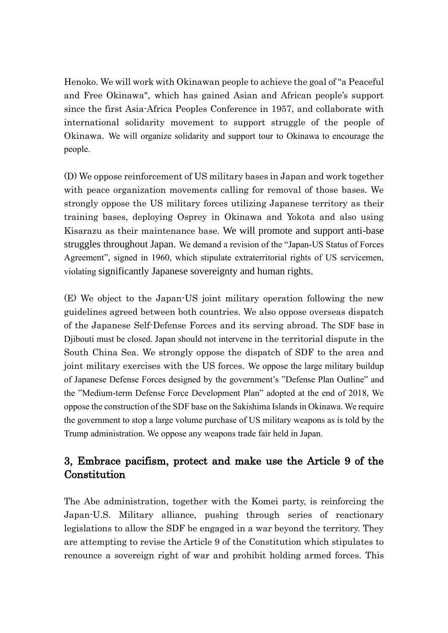Henoko. We will work with Okinawan people to achieve the goal of "a Peaceful and Free Okinawa", which has gained Asian and African people's support since the first Asia-Africa Peoples Conference in 1957, and collaborate with international solidarity movement to support struggle of the people of Okinawa. We will organize solidarity and support tour to Okinawa to encourage the people.

(D) We oppose reinforcement of US military bases in Japan and work together with peace organization movements calling for removal of those bases. We strongly oppose the US military forces utilizing Japanese territory as their training bases, deploying Osprey in Okinawa and Yokota and also using Kisarazu as their maintenance base. We will promote and support anti-base struggles throughout Japan. We demand a revision of the "Japan-US Status of Forces Agreement", signed in 1960, which stipulate extraterritorial rights of US servicemen, violating significantly Japanese sovereignty and human rights.

(E) We object to the Japan-US joint military operation following the new guidelines agreed between both countries. We also oppose overseas dispatch of the Japanese Self-Defense Forces and its serving abroad. The SDF base in Djibouti must be closed. Japan should not intervene in the territorial dispute in the South China Sea. We strongly oppose the dispatch of SDF to the area and joint military exercises with the US forces. We oppose the large military buildup of Japanese Defense Forces designed by the government's "Defense Plan Outline" and the "Medium-term Defense Force Development Plan" adopted at the end of 2018, We oppose the construction of the SDF base on the Sakishima Islands in Okinawa. We require the government to stop a large volume purchase of US military weapons as is told by the Trump administration. We oppose any weapons trade fair held in Japan.

#### 3, Embrace pacifism, protect and make use the Article 9 of the **Constitution**

The Abe administration, together with the Komei party, is reinforcing the Japan-U.S. Military alliance, pushing through series of reactionary legislations to allow the SDF be engaged in a war beyond the territory. They are attempting to revise the Article 9 of the Constitution which stipulates to renounce a sovereign right of war and prohibit holding armed forces. This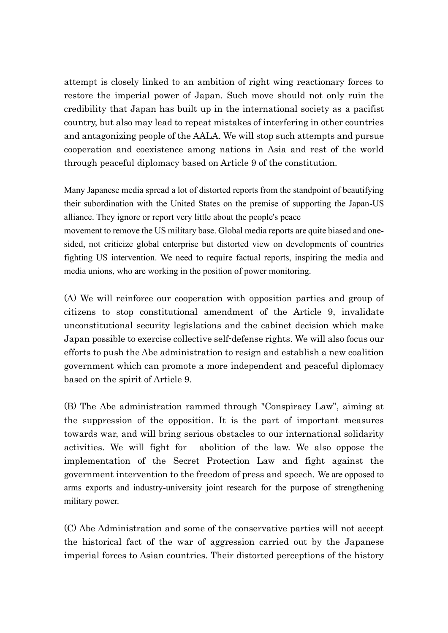attempt is closely linked to an ambition of right wing reactionary forces to restore the imperial power of Japan. Such move should not only ruin the credibility that Japan has built up in the international society as a pacifist country, but also may lead to repeat mistakes of interfering in other countries and antagonizing people of the AALA. We will stop such attempts and pursue cooperation and coexistence among nations in Asia and rest of the world through peaceful diplomacy based on Article 9 of the constitution.

Many Japanese media spread a lot of distorted reports from the standpoint of beautifying their subordination with the United States on the premise of supporting the Japan-US alliance. They ignore or report very little about the people's peace

movement to remove the US military base. Global media reports are quite biased and onesided, not criticize global enterprise but distorted view on developments of countries fighting US intervention. We need to require factual reports, inspiring the media and media unions, who are working in the position of power monitoring.

(A) We will reinforce our cooperation with opposition parties and group of citizens to stop constitutional amendment of the Article 9, invalidate unconstitutional security legislations and the cabinet decision which make Japan possible to exercise collective self-defense rights. We will also focus our efforts to push the Abe administration to resign and establish a new coalition government which can promote a more independent and peaceful diplomacy based on the spirit of Article 9.

(B) The Abe administration rammed through "Conspiracy Law", aiming at the suppression of the opposition. It is the part of important measures towards war, and will bring serious obstacles to our international solidarity activities. We will fight for abolition of the law. We also oppose the implementation of the Secret Protection Law and fight against the government intervention to the freedom of press and speech. We are opposed to arms exports and industry-university joint research for the purpose of strengthening military power.

(C) Abe Administration and some of the conservative parties will not accept the historical fact of the war of aggression carried out by the Japanese imperial forces to Asian countries. Their distorted perceptions of the history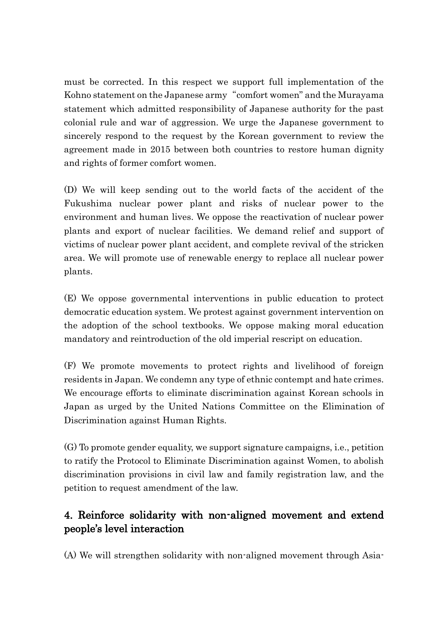must be corrected. In this respect we support full implementation of the Kohno statement on the Japanese army "comfort women" and the Murayama statement which admitted responsibility of Japanese authority for the past colonial rule and war of aggression. We urge the Japanese government to sincerely respond to the request by the Korean government to review the agreement made in 2015 between both countries to restore human dignity and rights of former comfort women.

(D) We will keep sending out to the world facts of the accident of the Fukushima nuclear power plant and risks of nuclear power to the environment and human lives. We oppose the reactivation of nuclear power plants and export of nuclear facilities. We demand relief and support of victims of nuclear power plant accident, and complete revival of the stricken area. We will promote use of renewable energy to replace all nuclear power plants.

(E) We oppose governmental interventions in public education to protect democratic education system. We protest against government intervention on the adoption of the school textbooks. We oppose making moral education mandatory and reintroduction of the old imperial rescript on education.

(F) We promote movements to protect rights and livelihood of foreign residents in Japan. We condemn any type of ethnic contempt and hate crimes. We encourage efforts to eliminate discrimination against Korean schools in Japan as urged by the United Nations Committee on the Elimination of Discrimination against Human Rights.

(G) To promote gender equality, we support signature campaigns, i.e., petition to ratify the Protocol to Eliminate Discrimination against Women, to abolish discrimination provisions in civil law and family registration law, and the petition to request amendment of the law.

## 4. Reinforce solidarity with non-aligned movement and extend people's level interaction

(A) We will strengthen solidarity with non-aligned movement through Asia-